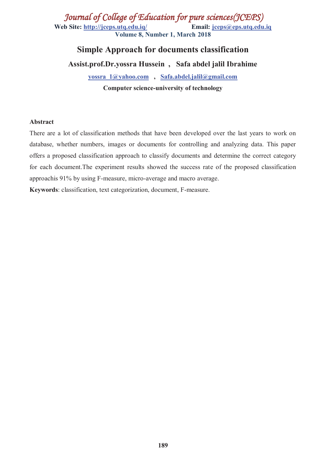*Journal of College of Education for pure sciences(JCEPS)* **Web Site: http://jceps.utq.edu.iq/ Email: jceps@eps.utq.edu.iq Volume 8, Number 1, March 2018** 

# **Simple Approach for documents classification**

**Assist.prof.Dr.yossra Hussein , Safa abdel jalil Ibrahime** 

**yossra\_1@yahoo.com , Safa.abdel.jalil@gmail.com Computer science-university of technology** 

#### **Abstract**

There are a lot of classification methods that have been developed over the last years to work on database, whether numbers, images or documents for controlling and analyzing data. This paper offers a proposed classification approach to classify documents and determine the correct category for each document.The experiment results showed the success rate of the proposed classification approachis 91% by using F-measure, micro-average and macro average.

**Keywords**: classification, text categorization, document, F-measure.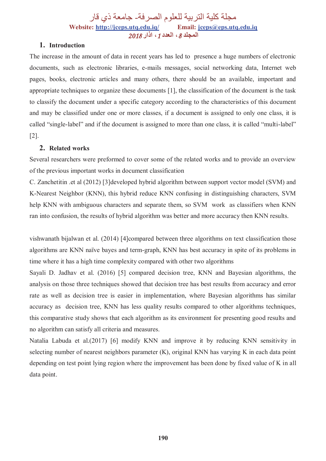مجلة كلیة التربیة للعلوم الصرفة- جامعة ذي قار **Website: http://jceps.utq.edu.iq/ Email: jceps@eps.utq.edu.iq المجلد ،***8* **العدد ،***1* **اذار** *2018*

## **1. Introduction**

The increase in the amount of data in recent years has led to presence a huge numbers of electronic documents, such as electronic libraries, e-mails messages, social networking data, Internet web pages, books, electronic articles and many others, there should be an available, important and appropriate techniques to organize these documents [1], the classification of the document is the task to classify the document under a specific category according to the characteristics of this document and may be classified under one or more classes, if a document is assigned to only one class, it is called "single-label" and if the document is assigned to more than one class, it is called "multi-label" [2].

### **2. Related works**

Several researchers were preformed to cover some of the related works and to provide an overview of the previous important works in document classification

C. Zanchetitin .et al (2012) [3]developed hybrid algorithm between support vector model (SVM) and K-Nearest Neighbor (KNN), this hybrid reduce KNN confusing in distinguishing characters, SVM help KNN with ambiguous characters and separate them, so SVM work as classifiers when KNN ran into confusion, the results of hybrid algorithm was better and more accuracy then KNN results.

vishwanath bijalwan et al. (2014) [4]compared between three algorithms on text classification those algorithms are KNN naïve bayes and term-graph, KNN has best accuracy in spite of its problems in time where it has a high time complexity compared with other two algorithms

Sayali D. Jadhav et al. (2016) [5] compared decision tree, KNN and Bayesian algorithms, the analysis on those three techniques showed that decision tree has best results from accuracy and error rate as well as decision tree is easier in implementation, where Bayesian algorithms has similar accuracy as decision tree, KNN has less quality results compared to other algorithms techniques, this comparative study shows that each algorithm as its environment for presenting good results and no algorithm can satisfy all criteria and measures.

Natalia Labuda et al.(2017) [6] modify KNN and improve it by reducing KNN sensitivity in selecting number of nearest neighbors parameter (K), original KNN has varying K in each data point depending on test point lying region where the improvement has been done by fixed value of K in all data point.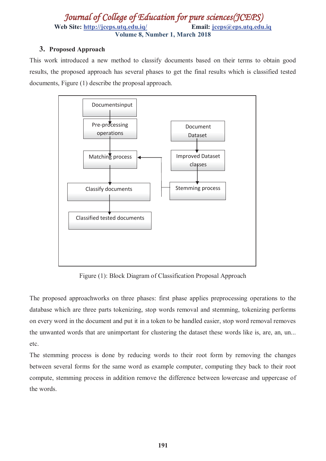# *Journal of College of Education for pure sciences(JCEPS)* Web Site: http://jceps.utq.edu.iq/ Email: jceps@eps.utq.edu.iq **Volume 8, Number 1, March 2018**

## **3. Proposed Approach**

This work introduced a new method to classify documents based on their terms to obtain good results, the proposed approach has several phases to get the final results which is classified tested documents, Figure (1) describe the proposal approach.



Figure (1): Block Diagram of Classification Proposal Approach

The proposed approachworks on three phases: first phase applies preprocessing operations to the database which are three parts tokenizing, stop words removal and stemming, tokenizing performs on every word in the document and put it in a token to be handled easier, stop word removal removes the unwanted words that are unimportant for clustering the dataset these words like is, are, an, un... etc.

The stemming process is done by reducing words to their root form by removing the changes between several forms for the same word as example computer, computing they back to their root compute, stemming process in addition remove the difference between lowercase and uppercase of the words.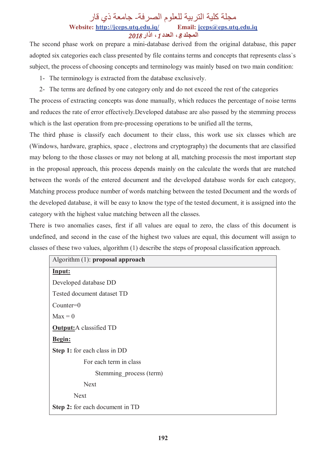# مجلة كلیة التربیة للعلوم الصرفة- جامعة ذي قار **Website: http://jceps.utq.edu.iq/ Email: jceps@eps.utq.edu.iq المجلد ،***8* **العدد ،***1* **اذار** *2018*

The second phase work on prepare a mini-database derived from the original database, this paper adopted six categories each class presented by file contains terms and concepts that represents class`s subject, the process of choosing concepts and terminology was mainly based on two main condition:

- 1- The terminology is extracted from the database exclusively.
- 2- The terms are defined by one category only and do not exceed the rest of the categories

The process of extracting concepts was done manually, which reduces the percentage of noise terms and reduces the rate of error effectively.Developed database are also passed by the stemming process which is the last operation from pre-processing operations to be unified all the terms,

The third phase is classify each document to their class, this work use six classes which are (Windows, hardware, graphics, space , electrons and cryptography) the documents that are classified may belong to the those classes or may not belong at all, matching processis the most important step in the proposal approach, this process depends mainly on the calculate the words that are matched between the words of the entered document and the developed database words for each category, Matching process produce number of words matching between the tested Document and the words of the developed database, it will be easy to know the type of the tested document, it is assigned into the category with the highest value matching between all the classes.

There is two anomalies cases, first if all values are equal to zero, the class of this document is undefined, and second in the case of the highest two values are equal, this document will assign to classes of these two values, algorithm (1) describe the steps of proposal classification approach.

| Algorithm $(1)$ : proposal approach |
|-------------------------------------|
| Input:                              |
| Developed database DD               |
| Tested document dataset TD          |
| $Counter=0$                         |
| $Max = 0$                           |
| <b>Output:</b> A classified TD      |
| Begin:                              |
| Step 1: for each class in DD        |
| For each term in class              |
| Stemming process (term)             |
| <b>Next</b>                         |
| <b>Next</b>                         |
| Step 2: for each document in TD     |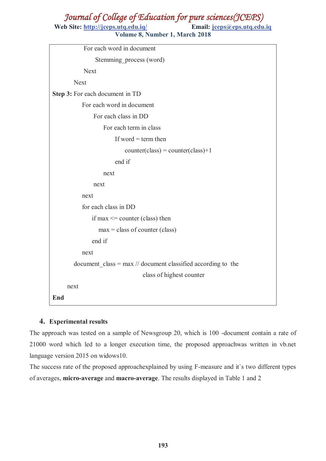# *Journal of College of Education for pure sciences(JCEPS)*

Web Site: http://jceps.utq.edu.iq/ Email: jceps@eps.utq.edu.iq **Volume 8, Number 1, March 2018** 

| For each word in document                                      |  |  |
|----------------------------------------------------------------|--|--|
| Stemming process (word)                                        |  |  |
| <b>Next</b>                                                    |  |  |
| <b>Next</b>                                                    |  |  |
| Step 3: For each document in TD                                |  |  |
| For each word in document                                      |  |  |
| For each class in DD                                           |  |  |
| For each term in class                                         |  |  |
| If word $=$ term then                                          |  |  |
| $counter(class) = counter(class)+1$                            |  |  |
| end if                                                         |  |  |
| next                                                           |  |  |
| next                                                           |  |  |
| next                                                           |  |  |
| for each class in DD                                           |  |  |
| if max $\leq$ counter (class) then                             |  |  |
| $max = class of counter (class)$                               |  |  |
| end if                                                         |  |  |
| next                                                           |  |  |
| document $class = max$ // document classified according to the |  |  |
| class of highest counter                                       |  |  |
| next                                                           |  |  |
| End                                                            |  |  |

## **4. Experimental results**

The approach was tested on a sample of Newsgroup 20, which is 100 -document contain a rate of 21000 word which led to a longer execution time, the proposed approachwas written in vb.net language version 2015 on widows10.

The success rate of the proposed approachexplained by using F-measure and it`s two different types of averages, **micro-average** and **macro-average**. The results displayed in Table 1 and 2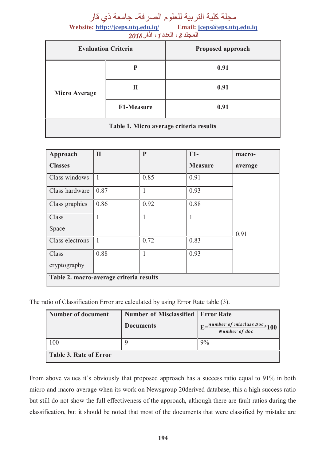مجلة كلية التربية للعلوم الصرفة- جامعة ذي قار<br>te: http://jceps.utq.edu.iq/ Email: jceps@eps.utq.edu.iq

Website: http://jceps.utq.edu.iq/ **المجلد ،***8* **العدد ،***1* **اذار** *2018*

| <b>Evaluation Criteria</b>              |                   | <b>Proposed approach</b> |  |  |
|-----------------------------------------|-------------------|--------------------------|--|--|
| <b>Micro Average</b>                    | P                 | 0.91                     |  |  |
|                                         | П                 | 0.91                     |  |  |
|                                         | <b>F1-Measure</b> | 0.91                     |  |  |
| Table 1. Micro average criteria results |                   |                          |  |  |

| Approach                                | $\Pi$        | $\mathbf{P}$ | $F1-$          | macro-  |
|-----------------------------------------|--------------|--------------|----------------|---------|
| <b>Classes</b>                          |              |              | <b>Measure</b> | average |
| Class windows                           | $\mathbf{1}$ | 0.85         | 0.91           |         |
| Class hardware                          | $\vert$ 0.87 | 1            | 0.93           |         |
| Class graphics                          | 0.86         | 0.92         | 0.88           |         |
| Class                                   |              |              | 1              |         |
| Space                                   |              |              |                | 0.91    |
| Class electrons                         | $\mathbf{1}$ | 0.72         | 0.83           |         |
| Class                                   | 0.88         | 1            | 0.93           |         |
| cryptography                            |              |              |                |         |
| Table 2. macro-average criteria results |              |              |                |         |

The ratio of Classification Error are calculated by using Error Rate table (3).

| Number of document            | <b>Number of Misclassified   Error Rate</b> |                                                                         |
|-------------------------------|---------------------------------------------|-------------------------------------------------------------------------|
|                               | <b>Documents</b>                            | $E = \frac{number\ of\ misclass\ Doc}{100} \times 100$<br>Number of doc |
| 100                           |                                             | 9%                                                                      |
| <b>Table 3. Rate of Error</b> |                                             |                                                                         |

From above values it`s obviously that proposed approach has a success ratio equal to 91% in both micro and macro average when its work on Newsgroup 20derived database, this a high success ratio but still do not show the full effectiveness of the approach, although there are fault ratios during the classification, but it should be noted that most of the documents that were classified by mistake are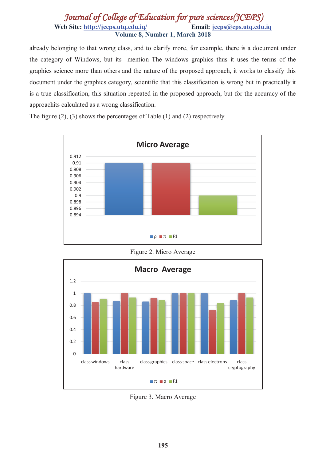# *Journal of College of Education for pure sciences(JCEPS)* **Web Site: http://jceps.utq.edu.iq/ Email: jceps@eps.utq.edu.iq Volume 8, Number 1, March 2018**

already belonging to that wrong class, and to clarify more, for example, there is a document under the category of Windows, but its mention The windows graphics thus it uses the terms of the graphics science more than others and the nature of the proposed approach, it works to classify this document under the graphics category, scientific that this classification is wrong but in practically it is a true classification, this situation repeated in the proposed approach, but for the accuracy of the approachits calculated as a wrong classification.

The figure (2), (3) shows the percentages of Table (1) and (2) respectively.



Figure 2. Micro Average



Figure 3. Macro Average